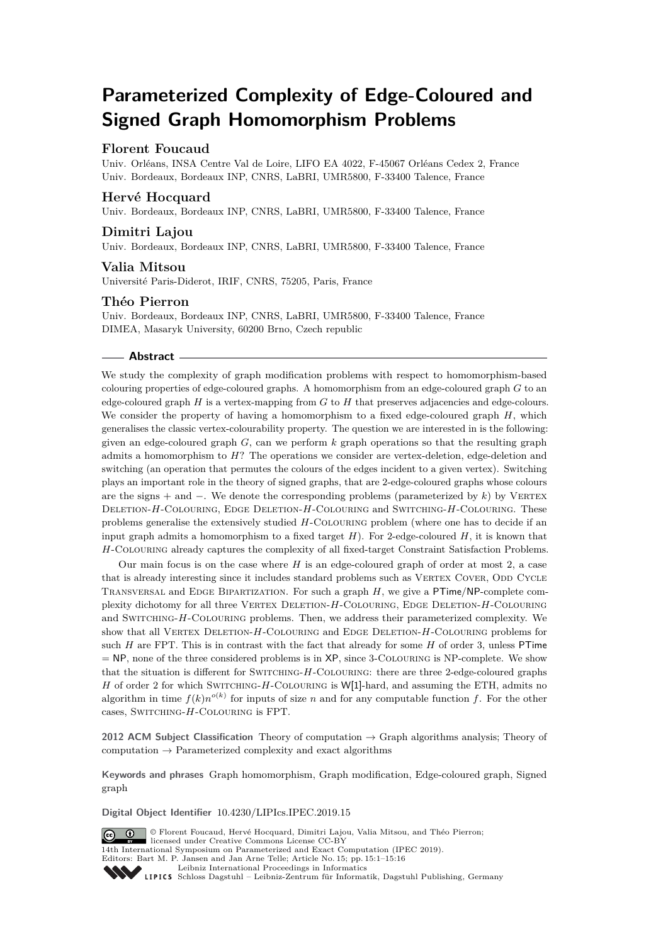# **Parameterized Complexity of Edge-Coloured and Signed Graph Homomorphism Problems**

## **Florent Foucaud**

Univ. Orléans, INSA Centre Val de Loire, LIFO EA 4022, F-45067 Orléans Cedex 2, France Univ. Bordeaux, Bordeaux INP, CNRS, LaBRI, UMR5800, F-33400 Talence, France

## **Hervé Hocquard**

Univ. Bordeaux, Bordeaux INP, CNRS, LaBRI, UMR5800, F-33400 Talence, France

#### **Dimitri Lajou**

Univ. Bordeaux, Bordeaux INP, CNRS, LaBRI, UMR5800, F-33400 Talence, France

### **Valia Mitsou**

Université Paris-Diderot, IRIF, CNRS, 75205, Paris, France

### **Théo Pierron**

Univ. Bordeaux, Bordeaux INP, CNRS, LaBRI, UMR5800, F-33400 Talence, France DIMEA, Masaryk University, 60200 Brno, Czech republic

#### **Abstract**

We study the complexity of graph modification problems with respect to homomorphism-based colouring properties of edge-coloured graphs. A homomorphism from an edge-coloured graph *G* to an edge-coloured graph *H* is a vertex-mapping from *G* to *H* that preserves adjacencies and edge-colours. We consider the property of having a homomorphism to a fixed edge-coloured graph *H*, which generalises the classic vertex-colourability property. The question we are interested in is the following: given an edge-coloured graph *G*, can we perform *k* graph operations so that the resulting graph admits a homomorphism to *H*? The operations we consider are vertex-deletion, edge-deletion and switching (an operation that permutes the colours of the edges incident to a given vertex). Switching plays an important role in the theory of signed graphs, that are 2-edge-coloured graphs whose colours are the signs + and −. We denote the corresponding problems (parameterized by *k*) by VERTEX Deletion-*H*-Colouring, Edge Deletion-*H*-Colouring and Switching-*H*-Colouring. These problems generalise the extensively studied *H*-Colouring problem (where one has to decide if an input graph admits a homomorphism to a fixed target *H*). For 2-edge-coloured *H*, it is known that *H*-Colouring already captures the complexity of all fixed-target Constraint Satisfaction Problems.

Our main focus is on the case where *H* is an edge-coloured graph of order at most 2, a case that is already interesting since it includes standard problems such as VERTEX COVER, ODD CYCLE Transversal and Edge Bipartization. For such a graph *H*, we give a PTime/NP-complete complexity dichotomy for all three VERTEX DELETION-H-COLOURING, EDGE DELETION-H-COLOURING and Switching-*H*-Colouring problems. Then, we address their parameterized complexity. We show that all Vertex Deletion-*H*-Colouring and Edge Deletion-*H*-Colouring problems for such *H* are FPT. This is in contrast with the fact that already for some *H* of order 3, unless PTime = NP, none of the three considered problems is in XP, since 3-Colouring is NP-complete. We show that the situation is different for Switching-*H*-Colouring: there are three 2-edge-coloured graphs *H* of order 2 for which SWITCHING-*H*-COLOURING is W[1]-hard, and assuming the ETH, admits no algorithm in time  $f(k)n^{o(k)}$  for inputs of size *n* and for any computable function *f*. For the other cases, Switching-*H*-Colouring is FPT.

**2012 ACM Subject Classification** Theory of computation → Graph algorithms analysis; Theory of computation  $\rightarrow$  Parameterized complexity and exact algorithms

**Keywords and phrases** Graph homomorphism, Graph modification, Edge-coloured graph, Signed graph

**Digital Object Identifier** [10.4230/LIPIcs.IPEC.2019.15](https://doi.org/10.4230/LIPIcs.IPEC.2019.15)

© Florent Foucaud, Hervé Hocquard, Dimitri Lajou, Valia Mitsou, and Théo Pierron;  $\boxed{6}$   $\boxed{0}$ licensed under Creative Commons License CC-BY 14th International Symposium on Parameterized and Exact Computation (IPEC 2019). Editors: Bart M. P. Jansen and Jan Arne Telle; Article No. 15; pp. 15:1–15[:16](#page-15-0) [Leibniz International Proceedings in Informatics](https://www.dagstuhl.de/lipics/) Leibniz international Floretungs in missimosische Publishing, Germany<br>LIPICS [Schloss Dagstuhl – Leibniz-Zentrum für Informatik, Dagstuhl Publishing, Germany](https://www.dagstuhl.de)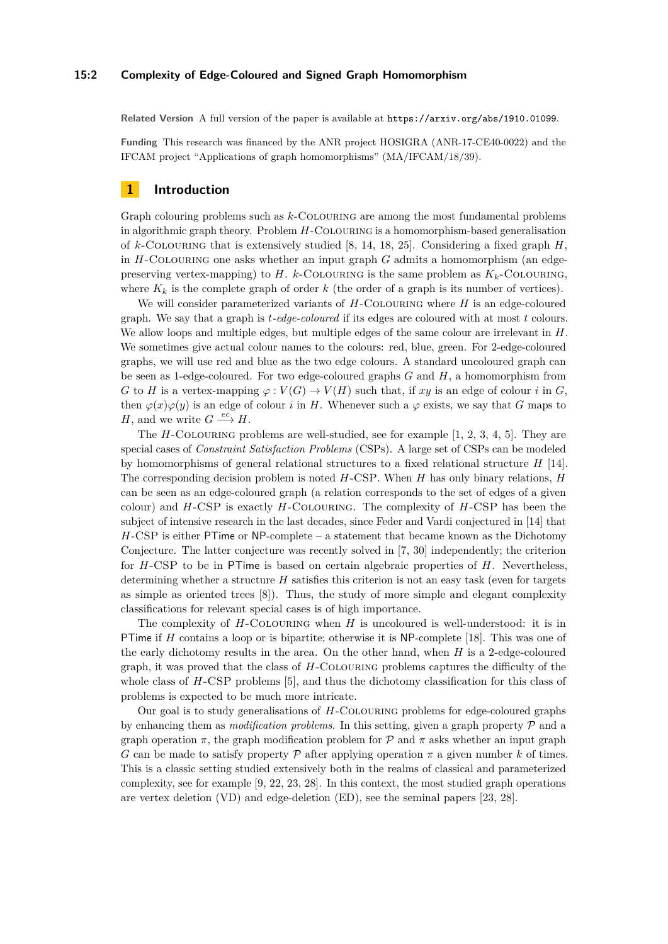#### **15:2 Complexity of Edge-Coloured and Signed Graph Homomorphism**

**Related Version** A full version of the paper is available at <https://arxiv.org/abs/1910.01099>.

**Funding** This research was financed by the ANR project HOSIGRA (ANR-17-CE40-0022) and the IFCAM project "Applications of graph homomorphisms" (MA/IFCAM/18/39).

## **1 Introduction**

Graph colouring problems such as *k*-Colouring are among the most fundamental problems in algorithmic graph theory. Problem *H*-Colouring is a homomorphism-based generalisation of *k*-Colouring that is extensively studied [\[8,](#page-14-0) [14,](#page-14-1) [18,](#page-15-1) [25\]](#page-15-2). Considering a fixed graph *H*, in *H*-Colouring one asks whether an input graph *G* admits a homomorphism (an edgepreserving vertex-mapping) to  $H$ .  $k$ -COLOURING is the same problem as  $K_k$ -COLOURING, where  $K_k$  is the complete graph of order  $k$  (the order of a graph is its number of vertices).

We will consider parameterized variants of *H*-Colouring where *H* is an edge-coloured graph. We say that a graph is *t-edge-coloured* if its edges are coloured with at most *t* colours. We allow loops and multiple edges, but multiple edges of the same colour are irrelevant in *H*. We sometimes give actual colour names to the colours: red, blue, green. For 2-edge-coloured graphs, we will use red and blue as the two edge colours. A standard uncoloured graph can be seen as 1-edge-coloured. For two edge-coloured graphs *G* and *H*, a homomorphism from *G* to *H* is a vertex-mapping  $\varphi: V(G) \to V(H)$  such that, if *xy* is an edge of colour *i* in *G*, then  $\varphi(x)\varphi(y)$  is an edge of colour *i* in *H*. Whenever such a  $\varphi$  exists, we say that *G* maps to *H*, and we write  $G \stackrel{ec}{\longrightarrow} H$ .

The *H*-COLOURING problems are well-studied, see for example [\[1,](#page-14-2) [2,](#page-14-3) [3,](#page-14-4) [4,](#page-14-5) [5\]](#page-14-6). They are special cases of *Constraint Satisfaction Problems* (CSPs). A large set of CSPs can be modeled by homomorphisms of general relational structures to a fixed relational structure *H* [\[14\]](#page-14-1). The corresponding decision problem is noted *H*-CSP. When *H* has only binary relations, *H* can be seen as an edge-coloured graph (a relation corresponds to the set of edges of a given colour) and *H*-CSP is exactly *H*-Colouring. The complexity of *H*-CSP has been the subject of intensive research in the last decades, since Feder and Vardi conjectured in [\[14\]](#page-14-1) that *H*-CSP is either PTime or NP-complete – a statement that became known as the Dichotomy Conjecture. The latter conjecture was recently solved in [\[7,](#page-14-7) [30\]](#page-15-3) independently; the criterion for *H*-CSP to be in PTime is based on certain algebraic properties of *H*. Nevertheless, determining whether a structure *H* satisfies this criterion is not an easy task (even for targets as simple as oriented trees [\[8\]](#page-14-0)). Thus, the study of more simple and elegant complexity classifications for relevant special cases is of high importance.

The complexity of *H*-Colouring when *H* is uncoloured is well-understood: it is in PTime if *H* contains a loop or is bipartite; otherwise it is NP-complete [\[18\]](#page-15-1). This was one of the early dichotomy results in the area. On the other hand, when *H* is a 2-edge-coloured graph, it was proved that the class of *H*-Colouring problems captures the difficulty of the whole class of *H*-CSP problems [\[5\]](#page-14-6), and thus the dichotomy classification for this class of problems is expected to be much more intricate.

Our goal is to study generalisations of *H*-Colouring problems for edge-coloured graphs by enhancing them as *modification problems*. In this setting, given a graph property P and a graph operation  $\pi$ , the graph modification problem for  $\mathcal P$  and  $\pi$  asks whether an input graph *G* can be made to satisfy property  $\mathcal P$  after applying operation  $\pi$  a given number *k* of times. This is a classic setting studied extensively both in the realms of classical and parameterized complexity, see for example [\[9,](#page-14-8) [22,](#page-15-4) [23,](#page-15-5) [28\]](#page-15-6). In this context, the most studied graph operations are vertex deletion (VD) and edge-deletion (ED), see the seminal papers [\[23,](#page-15-5) [28\]](#page-15-6).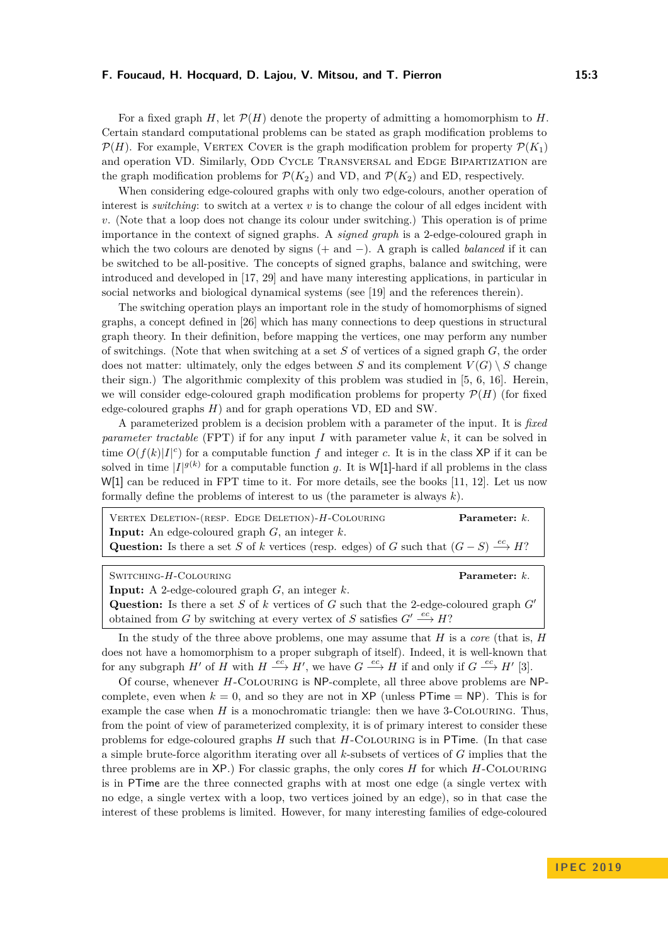For a fixed graph *H*, let  $\mathcal{P}(H)$  denote the property of admitting a homomorphism to *H*. Certain standard computational problems can be stated as graph modification problems to  $\mathcal{P}(H)$ . For example, VERTEX COVER is the graph modification problem for property  $\mathcal{P}(K_1)$ and operation VD. Similarly, ODD CYCLE TRANSVERSAL and EDGE BIPARTIZATION are the graph modification problems for  $\mathcal{P}(K_2)$  and VD, and  $\mathcal{P}(K_2)$  and ED, respectively.

When considering edge-coloured graphs with only two edge-colours, another operation of interest is *switching*: to switch at a vertex  $v$  is to change the colour of all edges incident with *v*. (Note that a loop does not change its colour under switching.) This operation is of prime importance in the context of signed graphs. A *signed graph* is a 2-edge-coloured graph in which the two colours are denoted by signs (+ and −). A graph is called *balanced* if it can be switched to be all-positive. The concepts of signed graphs, balance and switching, were introduced and developed in [\[17,](#page-15-7) [29\]](#page-15-8) and have many interesting applications, in particular in social networks and biological dynamical systems (see [\[19\]](#page-15-9) and the references therein).

The switching operation plays an important role in the study of homomorphisms of signed graphs, a concept defined in [\[26\]](#page-15-10) which has many connections to deep questions in structural graph theory. In their definition, before mapping the vertices, one may perform any number of switchings. (Note that when switching at a set *S* of vertices of a signed graph *G*, the order does not matter: ultimately, only the edges between *S* and its complement  $V(G) \setminus S$  change their sign.) The algorithmic complexity of this problem was studied in [\[5,](#page-14-6) [6,](#page-14-9) [16\]](#page-14-10). Herein, we will consider edge-coloured graph modification problems for property  $\mathcal{P}(H)$  (for fixed edge-coloured graphs *H*) and for graph operations VD, ED and SW.

A parameterized problem is a decision problem with a parameter of the input. It is *fixed parameter tractable* (FPT) if for any input *I* with parameter value *k*, it can be solved in time  $O(f(k)|I|^c)$  for a computable function f and integer c. It is in the class XP if it can be solved in time  $|I|^{g(k)}$  for a computable function g. It is W[1]-hard if all problems in the class W[1] can be reduced in FPT time to it. For more details, see the books [\[11,](#page-14-11) [12\]](#page-14-12). Let us now formally define the problems of interest to us (the parameter is always *k*).

| VERTEX DELETION-(RESP. EDGE DELETION)- $H$ -COLOURING                                                     | Parameter: $k$ . |
|-----------------------------------------------------------------------------------------------------------|------------------|
| <b>Input:</b> An edge-coloured graph $G$ , an integer $k$ .                                               |                  |
| <b>Question:</b> Is there a set S of k vertices (resp. edges) of G such that $(G-S) \xrightarrow{ec} H$ ? |                  |
|                                                                                                           |                  |
| SWITCHING- $H$ -COLOURING                                                                                 | Parameter: $k$ . |
| <b>Input:</b> A 2-edge-coloured graph $G$ , an integer $k$ .                                              |                  |

**Question:** Is there a set *S* of *k* vertices of *G* such that the 2-edge-coloured graph *G*<sup>0</sup> obtained from *G* by switching at every vertex of *S* satisfies  $G' \xrightarrow{ec} H$ ?

In the study of the three above problems, one may assume that *H* is a *core* (that is, *H* does not have a homomorphism to a proper subgraph of itself). Indeed, it is well-known that for any subgraph *H*<sup>1</sup> of *H* with  $H \stackrel{ec}{\longrightarrow} H'$ , we have  $G \stackrel{ec}{\longrightarrow} H$  if and only if  $G \stackrel{ec}{\longrightarrow} H'$  [\[3\]](#page-14-4).

Of course, whenever *H*-Colouring is NP-complete, all three above problems are NPcomplete, even when  $k = 0$ , and so they are not in XP (unless PTime  $= NP$ ). This is for example the case when  $H$  is a monochromatic triangle: then we have 3-COLOURING. Thus, from the point of view of parameterized complexity, it is of primary interest to consider these problems for edge-coloured graphs *H* such that *H*-Colouring is in PTime. (In that case a simple brute-force algorithm iterating over all *k*-subsets of vertices of *G* implies that the three problems are in XP.) For classic graphs, the only cores *H* for which *H*-Colouring is in PTime are the three connected graphs with at most one edge (a single vertex with no edge, a single vertex with a loop, two vertices joined by an edge), so in that case the interest of these problems is limited. However, for many interesting families of edge-coloured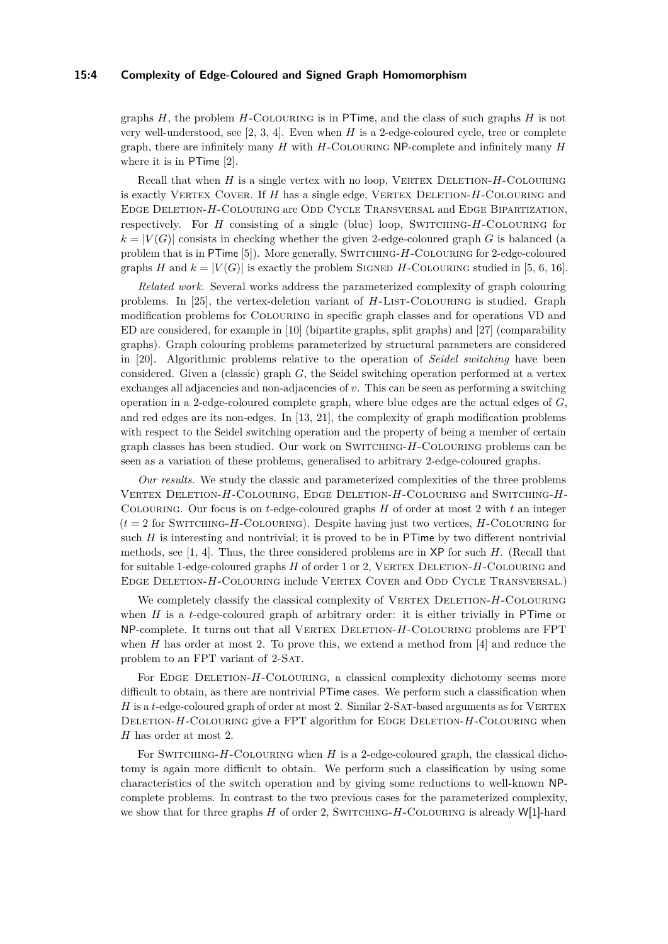#### **15:4 Complexity of Edge-Coloured and Signed Graph Homomorphism**

graphs *H*, the problem *H*-Colouring is in PTime, and the class of such graphs *H* is not very well-understood, see [\[2,](#page-14-3) [3,](#page-14-4) [4\]](#page-14-5). Even when *H* is a 2-edge-coloured cycle, tree or complete graph, there are infinitely many *H* with *H*-Colouring NP-complete and infinitely many *H* where it is in PTime [\[2\]](#page-14-3).

Recall that when *H* is a single vertex with no loop, VERTEX DELETION-*H*-COLOURING is exactly Vertex Cover. If *H* has a single edge, Vertex Deletion-*H*-Colouring and Edge Deletion-*H*-Colouring are Odd Cycle Transversal and Edge Bipartization, respectively. For *H* consisting of a single (blue) loop, Switching-*H*-Colouring for  $k = |V(G)|$  consists in checking whether the given 2-edge-coloured graph *G* is balanced (a problem that is in PTime [\[5\]](#page-14-6)). More generally, Switching-*H*-Colouring for 2-edge-coloured graphs *H* and  $k = |V(G)|$  is exactly the problem SIGNED *H*-COLOURING studied in [\[5,](#page-14-6) [6,](#page-14-9) [16\]](#page-14-10).

*Related work.* Several works address the parameterized complexity of graph colouring problems. In [\[25\]](#page-15-2), the vertex-deletion variant of *H*-LIST-COLOURING is studied. Graph modification problems for Colouring in specific graph classes and for operations VD and ED are considered, for example in [\[10\]](#page-14-13) (bipartite graphs, split graphs) and [\[27\]](#page-15-11) (comparability graphs). Graph colouring problems parameterized by structural parameters are considered in [\[20\]](#page-15-12). Algorithmic problems relative to the operation of *Seidel switching* have been considered. Given a (classic) graph *G*, the Seidel switching operation performed at a vertex exchanges all adjacencies and non-adjacencies of *v*. This can be seen as performing a switching operation in a 2-edge-coloured complete graph, where blue edges are the actual edges of *G*, and red edges are its non-edges. In [\[13,](#page-14-14) [21\]](#page-15-13), the complexity of graph modification problems with respect to the Seidel switching operation and the property of being a member of certain graph classes has been studied. Our work on Switching-*H*-Colouring problems can be seen as a variation of these problems, generalised to arbitrary 2-edge-coloured graphs.

*Our results.* We study the classic and parameterized complexities of the three problems Vertex Deletion-*H*-Colouring, Edge Deletion-*H*-Colouring and Switching-*H*-Colouring. Our focus is on *t*-edge-coloured graphs *H* of order at most 2 with *t* an integer  $(t = 2$  for SWITCHING-H-COLOURING). Despite having just two vertices, *H*-COLOURING for such *H* is interesting and nontrivial; it is proved to be in PTime by two different nontrivial methods, see [\[1,](#page-14-2) [4\]](#page-14-5). Thus, the three considered problems are in XP for such *H*. (Recall that for suitable 1-edge-coloured graphs *H* of order 1 or 2, VERTEX DELETION-*H*-COLOURING and Edge Deletion-*H*-Colouring include Vertex Cover and Odd Cycle Transversal.)

We completely classify the classical complexity of VERTEX DELETION-H-COLOURING when *H* is a *t*-edge-coloured graph of arbitrary order: it is either trivially in PTime or NP-complete. It turns out that all VERTEX DELETION-H-COLOURING problems are FPT when *H* has order at most 2. To prove this, we extend a method from [\[4\]](#page-14-5) and reduce the problem to an FPT variant of 2-Sat.

For EDGE DELETION-H-COLOURING, a classical complexity dichotomy seems more difficult to obtain, as there are nontrivial PTime cases. We perform such a classification when *H* is a *t*-edge-coloured graph of order at most 2. Similar 2-SAT-based arguments as for VERTEX DELETION-H-COLOURING give a FPT algorithm for EDGE DELETION-H-COLOURING when *H* has order at most 2.

For SWITCHING-H-COLOURING when *H* is a 2-edge-coloured graph, the classical dichotomy is again more difficult to obtain. We perform such a classification by using some characteristics of the switch operation and by giving some reductions to well-known NPcomplete problems. In contrast to the two previous cases for the parameterized complexity, we show that for three graphs *H* of order 2, SWITCHING-*H*-COLOURING is already W[1]-hard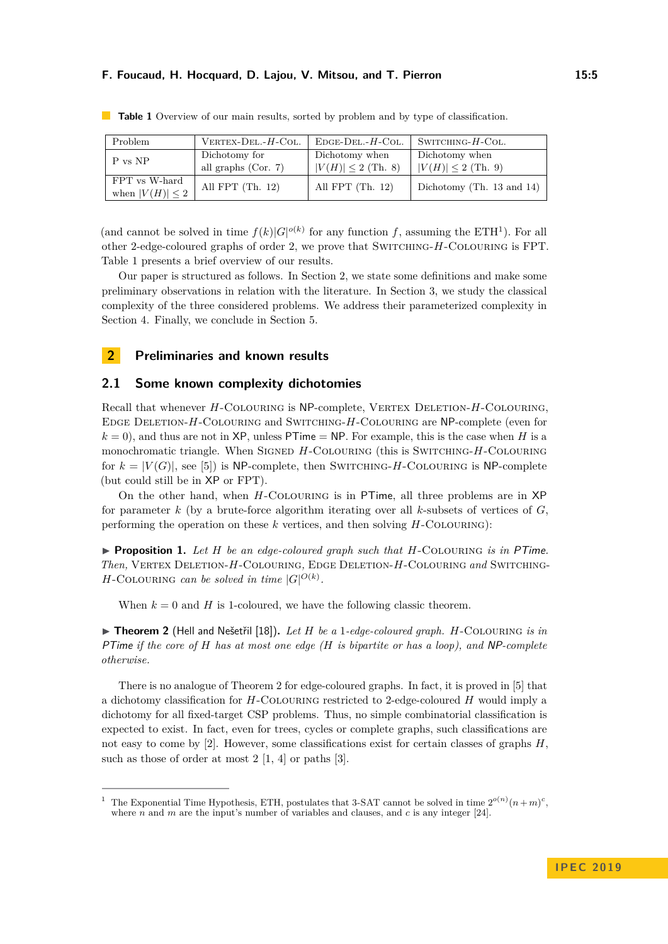| Problem                               | VERTEX-DEL.- $H$ -COL.               | $E$ DGE-DEL.- $H$ -COL.                   | $SWITCHING-H-COL.$                        |
|---------------------------------------|--------------------------------------|-------------------------------------------|-------------------------------------------|
| P vs NP                               | Dichotomy for<br>all graphs (Cor. 7) | Dichotomy when<br>$ V(H)  \leq 2$ (Th. 8) | Dichotomy when<br>$ V(H)  \leq 2$ (Th. 9) |
| FPT vs W-hard<br>when $ V(H)  \leq 2$ | All FPT $(Th. 12)$                   | All FPT $(Th. 12)$                        | Dichotomy (Th. 13 and $14$ )              |

<span id="page-4-1"></span>**Table 1** Overview of our main results, sorted by problem and by type of classification.

(and cannot be solved in time  $f(k)|G|^{o(k)}$  for any function f, assuming the ETH<sup>[1](#page-4-0)</sup>). For all other 2-edge-coloured graphs of order 2, we prove that Switching-*H*-Colouring is FPT. Table [1](#page-4-1) presents a brief overview of our results.

Our paper is structured as follows. In Section [2,](#page-4-2) we state some definitions and make some preliminary observations in relation with the literature. In Section [3,](#page-5-0) we study the classical complexity of the three considered problems. We address their parameterized complexity in Section [4.](#page-9-1) Finally, we conclude in Section [5.](#page-13-0)

## <span id="page-4-2"></span>**2 Preliminaries and known results**

## **2.1 Some known complexity dichotomies**

Recall that whenever *H*-Colouring is NP-complete, Vertex Deletion-*H*-Colouring, Edge Deletion-*H*-Colouring and Switching-*H*-Colouring are NP-complete (even for  $k = 0$ , and thus are not in XP, unless PTime = NP. For example, this is the case when *H* is a monochromatic triangle. When Signed *H*-Colouring (this is Switching-*H*-Colouring for  $k = |V(G)|$ , see [\[5\]](#page-14-6)) is NP-complete, then SWITCHING-H-COLOURING is NP-complete (but could still be in XP or FPT).

On the other hand, when *H*-Colouring is in PTime, all three problems are in XP for parameter *k* (by a brute-force algorithm iterating over all *k*-subsets of vertices of *G*, performing the operation on these  $k$  vertices, and then solving  $H$ -COLOURING):

▶ **Proposition 1.** Let *H* be an edge-coloured graph such that *H*-COLOURING *is in* PTime. *Then,* Vertex Deletion-*H*-Colouring*,* Edge Deletion-*H*-Colouring *and* Switching-*H*-COLOURING *can be solved in time*  $|G|^{O(k)}$ *.* 

When  $k = 0$  and *H* is 1-coloured, we have the following classic theorem.

<span id="page-4-3"></span> $\triangleright$  **Theorem 2** (Hell and Nešetřil [\[18\]](#page-15-1)). Let *H* be a 1-edge-coloured graph. *H*-COLOURING *is in* PTime *if the core of H has at most one edge (H is bipartite or has a loop), and* NP*-complete otherwise.*

There is no analogue of Theorem [2](#page-4-3) for edge-coloured graphs. In fact, it is proved in [\[5\]](#page-14-6) that a dichotomy classification for *H*-Colouring restricted to 2-edge-coloured *H* would imply a dichotomy for all fixed-target CSP problems. Thus, no simple combinatorial classification is expected to exist. In fact, even for trees, cycles or complete graphs, such classifications are not easy to come by [\[2\]](#page-14-3). However, some classifications exist for certain classes of graphs *H*, such as those of order at most  $2 \lfloor 1, 4 \rfloor$  or paths  $\lfloor 3 \rfloor$ .

<span id="page-4-0"></span><sup>&</sup>lt;sup>1</sup> The Exponential Time Hypothesis, ETH, postulates that 3-SAT cannot be solved in time  $2^{o(n)}(n+m)^c$ , where *n* and *m* are the input's number of variables and clauses, and *c* is any integer [\[24\]](#page-15-14).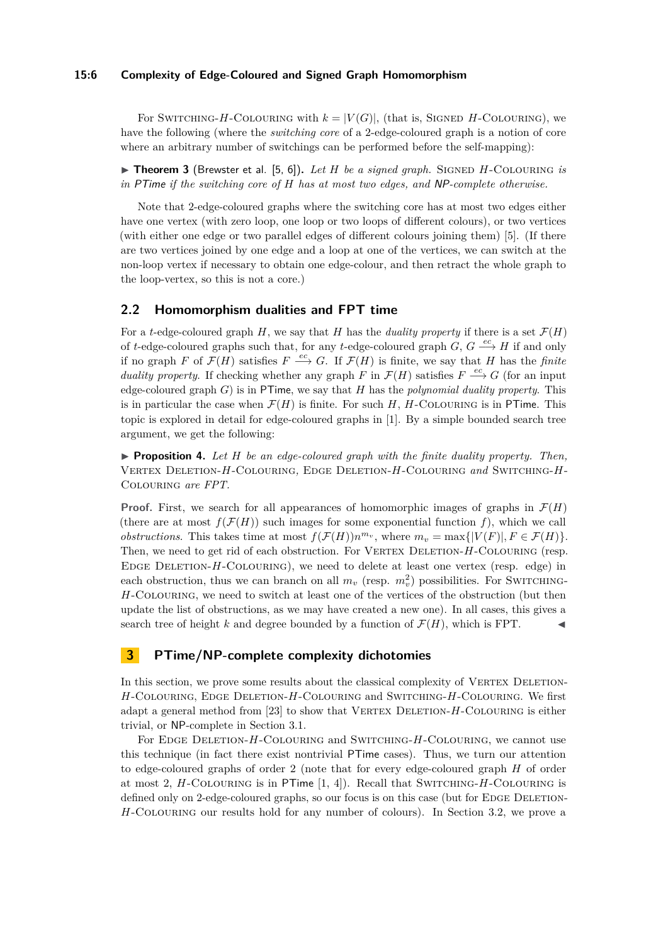### **15:6 Complexity of Edge-Coloured and Signed Graph Homomorphism**

For SWITCHING-H-COLOURING with  $k = |V(G)|$ , (that is, SIGNED H-COLOURING), we have the following (where the *switching core* of a 2-edge-coloured graph is a notion of core where an arbitrary number of switchings can be performed before the self-mapping):

<span id="page-5-1"></span> $\triangleright$  **Theorem 3** (Brewster et al. [\[5,](#page-14-6) [6\]](#page-14-9)). Let *H* be a signed graph. SIGNED *H*-COLOURING is *in* PTime *if the switching core of H has at most two edges, and* NP*-complete otherwise.*

Note that 2-edge-coloured graphs where the switching core has at most two edges either have one vertex (with zero loop, one loop or two loops of different colours), or two vertices (with either one edge or two parallel edges of different colours joining them) [\[5\]](#page-14-6). (If there are two vertices joined by one edge and a loop at one of the vertices, we can switch at the non-loop vertex if necessary to obtain one edge-colour, and then retract the whole graph to the loop-vertex, so this is not a core.)

## **2.2 Homomorphism dualities and FPT time**

For a *t*-edge-coloured graph *H*, we say that *H* has the *duality property* if there is a set  $\mathcal{F}(H)$ of *t*-edge-coloured graphs such that, for any *t*-edge-coloured graph  $G, G \stackrel{ec}{\longrightarrow} H$  if and only if no graph *F* of  $\mathcal{F}(H)$  satisfies  $F \stackrel{ec}{\longrightarrow} G$ . If  $\mathcal{F}(H)$  is finite, we say that *H* has the *finite duality property.* If checking whether any graph *F* in  $\mathcal{F}(H)$  satisfies  $F \xrightarrow{ec} G$  (for an input edge-coloured graph *G*) is in PTime, we say that *H* has the *polynomial duality property*. This is in particular the case when  $\mathcal{F}(H)$  is finite. For such  $H$ ,  $H$ -COLOURING is in PTime. This topic is explored in detail for edge-coloured graphs in [\[1\]](#page-14-2). By a simple bounded search tree argument, we get the following:

<span id="page-5-2"></span> $\triangleright$  **Proposition 4.** Let  $H$  be an edge-coloured graph with the finite duality property. Then, Vertex Deletion-*H*-Colouring*,* Edge Deletion-*H*-Colouring *and* Switching-*H*-Colouring *are FPT.*

**Proof.** First, we search for all appearances of homomorphic images of graphs in  $\mathcal{F}(H)$ (there are at most  $f(\mathcal{F}(H))$  such images for some exponential function f), which we call *obstructions*. This takes time at most  $f(\mathcal{F}(H))n^{m_v}$ , where  $m_v = \max\{|V(F)|, F \in \mathcal{F}(H)\}.$ Then, we need to get rid of each obstruction. For VERTEX DELETION-H-COLOURING (resp. EDGE DELETION-H-COLOURING), we need to delete at least one vertex (resp. edge) in each obstruction, thus we can branch on all  $m_v$  (resp.  $m_v^2$ ) possibilities. For SWITCHING-*H*-Colouring, we need to switch at least one of the vertices of the obstruction (but then update the list of obstructions, as we may have created a new one). In all cases, this gives a search tree of height *k* and degree bounded by a function of  $\mathcal{F}(H)$ , which is FPT.

## <span id="page-5-0"></span>**3 PTime/NP-complete complexity dichotomies**

In this section, we prove some results about the classical complexity of VERTEX DELETION-*H*-Colouring, Edge Deletion-*H*-Colouring and Switching-*H*-Colouring. We first adapt a general method from [\[23\]](#page-15-5) to show that VERTEX DELETION-H-COLOURING is either trivial, or NP-complete in Section [3.1.](#page-6-1)

For Edge Deletion-*H*-Colouring and Switching-*H*-Colouring, we cannot use this technique (in fact there exist nontrivial PTime cases). Thus, we turn our attention to edge-coloured graphs of order 2 (note that for every edge-coloured graph *H* of order at most 2, *H*-Colouring is in PTime [\[1,](#page-14-2) [4\]](#page-14-5)). Recall that Switching-*H*-Colouring is defined only on 2-edge-coloured graphs, so our focus is on this case (but for EDGE DELETION-*H*-Colouring our results hold for any number of colours). In Section [3.2,](#page-7-1) we prove a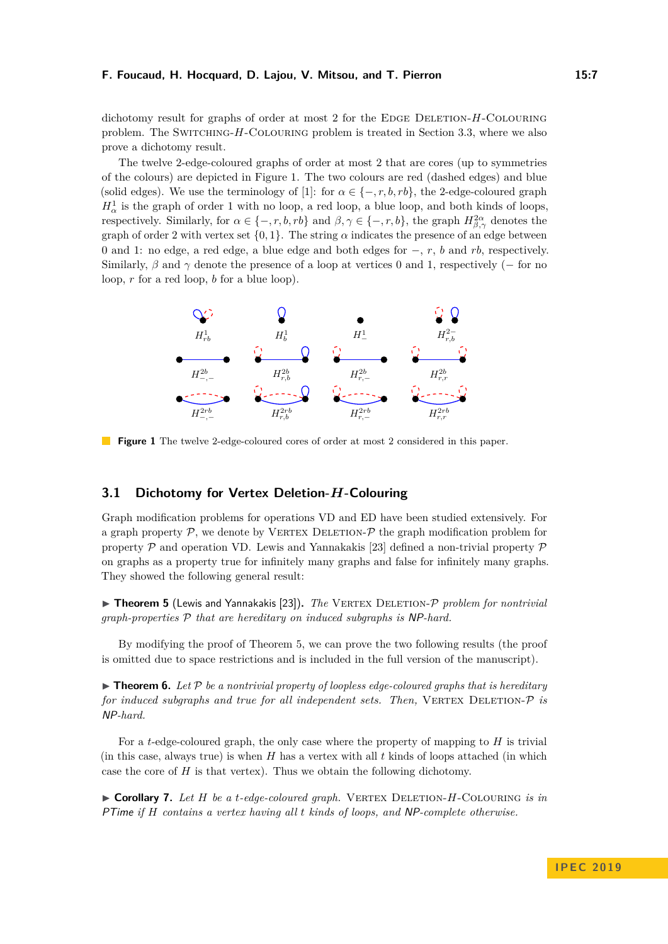dichotomy result for graphs of order at most 2 for the EDGE DELETION-H-COLOURING problem. The Switching-*H*-Colouring problem is treated in Section [3.3,](#page-8-1) where we also prove a dichotomy result.

The twelve 2-edge-coloured graphs of order at most 2 that are cores (up to symmetries of the colours) are depicted in Figure [1.](#page-6-2) The two colours are red (dashed edges) and blue (solid edges). We use the terminology of [\[1\]](#page-14-2): for  $\alpha \in \{-, r, b, rb\}$ , the 2-edge-coloured graph  $H^1_\alpha$  is the graph of order 1 with no loop, a red loop, a blue loop, and both kinds of loops, respectively. Similarly, for  $\alpha \in \{-, r, b, rb\}$  and  $\beta, \gamma \in \{-, r, b\}$ , the graph  $H^{2\alpha}_{\beta, \gamma}$  denotes the graph of order 2 with vertex set  $\{0, 1\}$ . The string  $\alpha$  indicates the presence of an edge between 0 and 1: no edge, a red edge, a blue edge and both edges for −, *r*, *b* and *rb*, respectively. Similarly,  $\beta$  and  $\gamma$  denote the presence of a loop at vertices 0 and 1, respectively (– for no loop, *r* for a red loop, *b* for a blue loop).

<span id="page-6-2"></span>

**Figure 1** The twelve 2-edge-coloured cores of order at most 2 considered in this paper.

## <span id="page-6-1"></span>**3.1 Dichotomy for Vertex Deletion-***H***-Colouring**

Graph modification problems for operations VD and ED have been studied extensively. For a graph property  $P$ , we denote by VERTEX DELETION- $P$  the graph modification problem for property  $P$  and operation VD. Lewis and Yannakakis [\[23\]](#page-15-5) defined a non-trivial property  $P$ on graphs as a property true for infinitely many graphs and false for infinitely many graphs. They showed the following general result:

<span id="page-6-3"></span>▶ Theorem 5 (Lewis and Yannakakis [\[23\]](#page-15-5)). *The VERTEX DELETION-P problem for nontrivial graph-properties* P *that are hereditary on induced subgraphs is* NP*-hard.*

By modifying the proof of Theorem [5,](#page-6-3) we can prove the two following results (the proof is omitted due to space restrictions and is included in the full version of the manuscript).

 $\triangleright$  **Theorem 6.** Let P be a nontrivial property of loopless edge-coloured graphs that is hereditary *for induced subgraphs and true for all independent sets. Then,* VERTEX DELETION- $\mathcal{P}$  *is* NP*-hard.*

For a *t*-edge-coloured graph, the only case where the property of mapping to *H* is trivial (in this case, always true) is when *H* has a vertex with all *t* kinds of loops attached (in which case the core of *H* is that vertex). Thus we obtain the following dichotomy.

<span id="page-6-0"></span>▶ Corollary 7. Let *H* be a *t*-edge-coloured graph. VERTEX DELETION-H-COLOURING is in PTime *if H contains a vertex having all t kinds of loops, and* NP*-complete otherwise.*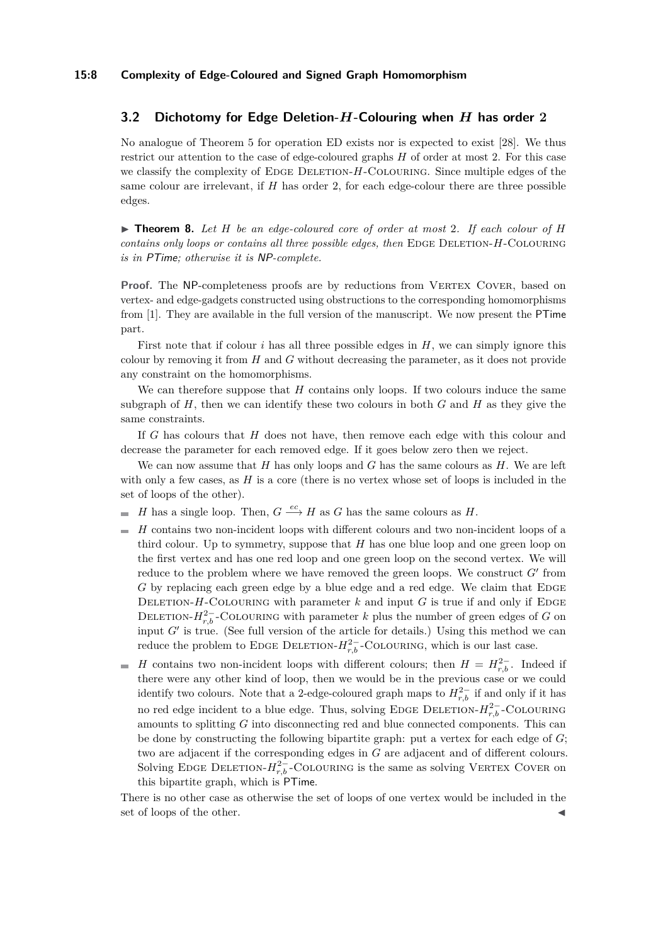#### **15:8 Complexity of Edge-Coloured and Signed Graph Homomorphism**

## <span id="page-7-1"></span>**3.2 Dichotomy for Edge Deletion-***H***-Colouring when** *H* **has order 2**

No analogue of Theorem [5](#page-6-3) for operation ED exists nor is expected to exist [\[28\]](#page-15-6). We thus restrict our attention to the case of edge-coloured graphs *H* of order at most 2. For this case we classify the complexity of EDGE DELETION-H-COLOURING. Since multiple edges of the same colour are irrelevant, if *H* has order 2, for each edge-colour there are three possible edges.

<span id="page-7-0"></span> $\triangleright$  **Theorem 8.** Let H be an edge-coloured core of order at most 2. If each colour of H *contains only loops or contains all three possible edges, then* EDGE DELETION-H-COLOURING *is in* PTime*; otherwise it is* NP*-complete.*

**Proof.** The NP-completeness proofs are by reductions from VERTEX COVER, based on vertex- and edge-gadgets constructed using obstructions to the corresponding homomorphisms from [\[1\]](#page-14-2). They are available in the full version of the manuscript. We now present the PTime part.

First note that if colour *i* has all three possible edges in *H*, we can simply ignore this colour by removing it from *H* and *G* without decreasing the parameter, as it does not provide any constraint on the homomorphisms.

We can therefore suppose that *H* contains only loops. If two colours induce the same subgraph of *H*, then we can identify these two colours in both *G* and *H* as they give the same constraints.

If *G* has colours that *H* does not have, then remove each edge with this colour and decrease the parameter for each removed edge. If it goes below zero then we reject.

We can now assume that *H* has only loops and *G* has the same colours as *H*. We are left with only a few cases, as *H* is a core (there is no vertex whose set of loops is included in the set of loops of the other).

- *H* has a single loop. Then,  $G \stackrel{ec}{\longrightarrow} H$  as *G* has the same colours as *H*.
- *H* contains two non-incident loops with different colours and two non-incident loops of a  $\equiv$ third colour. Up to symmetry, suppose that *H* has one blue loop and one green loop on the first vertex and has one red loop and one green loop on the second vertex. We will reduce to the problem where we have removed the green loops. We construct  $G'$  from *G* by replacing each green edge by a blue edge and a red edge. We claim that EDGE DELETION- $H$ -COLOURING with parameter  $k$  and input  $G$  is true if and only if EDGE DELETION- $H_{r,b}^{2-}$ -COLOURING with parameter *k* plus the number of green edges of *G* on input  $G'$  is true. (See full version of the article for details.) Using this method we can reduce the problem to EDGE DELETION- $H_{r,b}^{2-}$ -COLOURING, which is our last case.
- *H* contains two non-incident loops with different colours; then  $H = H_{r,b}^{2-}$ . Indeed if there were any other kind of loop, then we would be in the previous case or we could identify two colours. Note that a 2-edge-coloured graph maps to  $H_{r,b}^{2-}$  if and only if it has no red edge incident to a blue edge. Thus, solving EDGE DELETION- $H_{r,b}^{2-}$ -COLOURING amounts to splitting *G* into disconnecting red and blue connected components. This can be done by constructing the following bipartite graph: put a vertex for each edge of *G*; two are adjacent if the corresponding edges in *G* are adjacent and of different colours. Solving EDGE DELETION- $H_{r,b}^{2-}$ -COLOURING is the same as solving VERTEX COVER on this bipartite graph, which is PTime.

There is no other case as otherwise the set of loops of one vertex would be included in the set of loops of the other.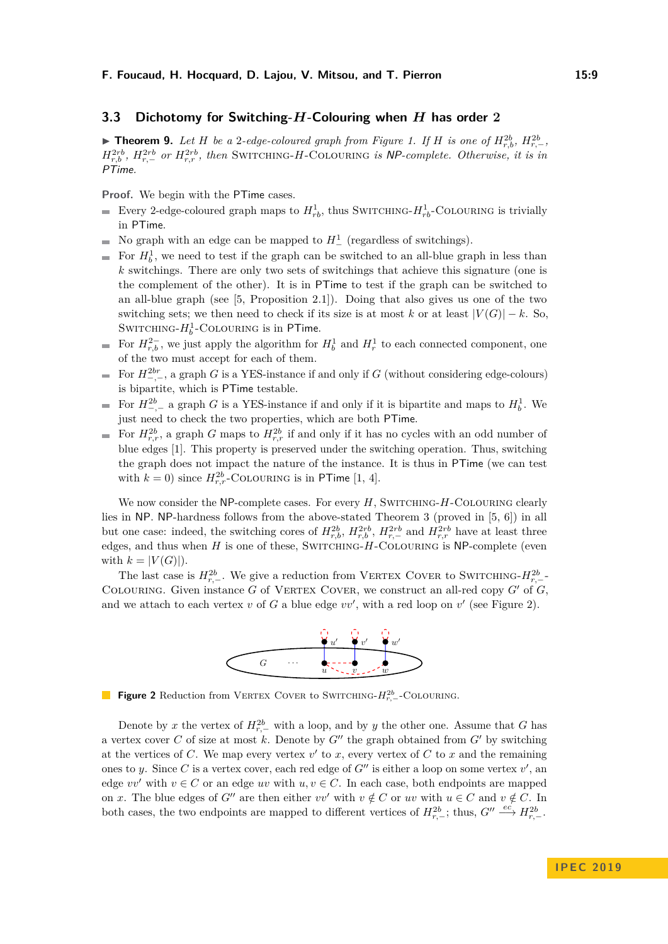## <span id="page-8-1"></span>**3.3 Dichotomy for Switching-***H***-Colouring when** *H* **has order 2**

<span id="page-8-0"></span>▶ **Theorem 9.** Let *H* be a 2-edge-coloured graph from Figure [1.](#page-6-2) If *H* is one of  $H_{r,b}^{2b}$ ,  $H_{r,-}^{2b}$ ,  $H_{r,b}^{2rb}$ ,  $H_{r,-}^{2rb}$  *or*  $H_{r,r}^{2rb}$ , then SWITCHING-H-COLOURING *is* NP-complete. Otherwise, it is in PTime*.*

**Proof.** We begin with the PTime cases.

- Every 2-edge-coloured graph maps to  $H_{rb}^1$ , thus SWITCHING- $H_{rb}^1$ -COLOURING is trivially in PTime.
- No graph with an edge can be mapped to  $H^1$ <sub>-</sub> (regardless of switchings).  $\blacksquare$
- For  $H_b^1$ , we need to test if the graph can be switched to an all-blue graph in less than *k* switchings. There are only two sets of switchings that achieve this signature (one is the complement of the other). It is in PTime to test if the graph can be switched to an all-blue graph (see [\[5,](#page-14-6) Proposition 2.1]). Doing that also gives us one of the two switching sets; we then need to check if its size is at most *k* or at least  $|V(G)| - k$ . So,  $\text{SWITCHING-}H^1_b\text{-}\text{ColoURING}$  is in PTime.
- For  $H_{r,b}^{2-}$ , we just apply the algorithm for  $H_b^1$  and  $H_r^1$  to each connected component, one of the two must accept for each of them.
- For  $H^{2br}_{-,-}$ , a graph *G* is a YES-instance if and only if *G* (without considering edge-colours) ÷ is bipartite, which is PTime testable.
- For  $H_{-,-}^{2b}$  a graph *G* is a YES-instance if and only if it is bipartite and maps to  $H_b^1$ . We  $\blacksquare$ just need to check the two properties, which are both PTime.
- For  $H^{2b}_{r,r}$ , a graph *G* maps to  $H^{2b}_{r,r}$  if and only if it has no cycles with an odd number of blue edges [\[1\]](#page-14-2). This property is preserved under the switching operation. Thus, switching the graph does not impact the nature of the instance. It is thus in PTime (we can test with  $k = 0$ ) since  $H_{r,r}^{2b}$ -COLOURING is in PTime [\[1,](#page-14-2) [4\]](#page-14-5).

We now consider the NP-complete cases. For every *H*, SWITCHING-*H*-COLOURING clearly lies in NP. NP-hardness follows from the above-stated Theorem [3](#page-5-1) (proved in [\[5,](#page-14-6) [6\]](#page-14-9)) in all but one case: indeed, the switching cores of  $H_{r,b}^{2b}$ ,  $H_{r,b}^{2rb}$ ,  $H_{r,-}^{2rb}$  and  $H_{r,r}^{2rb}$  have at least three edges, and thus when  $H$  is one of these, SWITCHING- $H$ -COLOURING is NP-complete (even with  $k = |V(G)|$ .

<span id="page-8-2"></span>The last case is  $H_{r,-}^{2b}$ . We give a reduction from VERTEX COVER to SWITCHING- $H_{r,-}^{2b}$ COLOURING. Given instance *G* of VERTEX COVER, we construct an all-red copy  $G'$  of  $G$ , and we attach to each vertex  $v$  of  $G$  a blue edge  $vv'$ , with a red loop on  $v'$  (see Figure [2\)](#page-8-2).



**Figure 2** Reduction from VERTEX COVER to SWITCHING- $H_{r,-}^{2b}$ -COLOURING.

Denote by x the vertex of  $H_{r,-}^{2b}$  with a loop, and by y the other one. Assume that G has a vertex cover *C* of size at most  $k$ . Denote by  $G''$  the graph obtained from  $G'$  by switching at the vertices of *C*. We map every vertex  $v'$  to *x*, every vertex of *C* to *x* and the remaining ones to *y*. Since *C* is a vertex cover, each red edge of  $G''$  is either a loop on some vertex  $v'$ , and edge *vv*<sup>'</sup> with  $v \in C$  or an edge *uv* with  $u, v \in C$ . In each case, both endpoints are mapped on *x*. The blue edges of *G*<sup>0</sup> are then either *vv*<sup>*'*</sup> with  $v \notin C$  or *uv* with  $u \in C$  and  $v \notin C$ . In both cases, the two endpoints are mapped to different vertices of  $H_{r,-}^{2b}$ ; thus,  $G'' \stackrel{ec}{\longrightarrow} H_{r,-}^{2b}$ .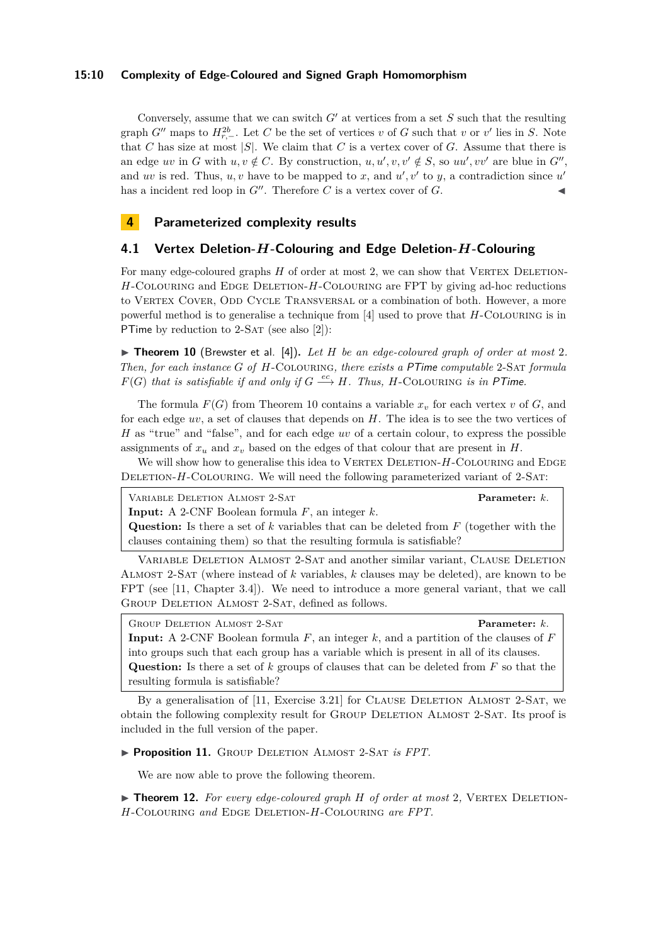## **15:10 Complexity of Edge-Coloured and Signed Graph Homomorphism**

Conversely, assume that we can switch  $G'$  at vertices from a set  $S$  such that the resulting graph *G*<sup> $''$ </sup> maps to  $H_{r,-}^{2b}$ . Let *C* be the set of vertices *v* of *G* such that *v* or *v*<sup> $'$ </sup> lies in *S*. Note that *C* has size at most  $|S|$ . We claim that *C* is a vertex cover of *G*. Assume that there is an edge *uv* in *G* with  $u, v \notin C$ . By construction,  $u, u', v, v' \notin S$ , so  $uu', vv'$  are blue in *G*<sup>*n*</sup>, and *uv* is red. Thus, *u*, *v* have to be mapped to *x*, and  $u'$ ,  $v'$  to *y*, a contradiction since  $u'$ has a incident red loop in  $G''$ . Therefore  $C$  is a vertex cover of  $G$ .

## <span id="page-9-1"></span>**4 Parameterized complexity results**

## **4.1 Vertex Deletion-***H***-Colouring and Edge Deletion-***H***-Colouring**

For many edge-coloured graphs *H* of order at most 2, we can show that VERTEX DELETION-*H*-Colouring and Edge Deletion-*H*-Colouring are FPT by giving ad-hoc reductions to VERTEX COVER, ODD CYCLE TRANSVERSAL or a combination of both. However, a more powerful method is to generalise a technique from [\[4\]](#page-14-5) used to prove that *H*-Colouring is in PTime by reduction to  $2$ -SAT (see also [\[2\]](#page-14-3)):

<span id="page-9-2"></span>▶ **Theorem 10** (Brewster et al. [\[4\]](#page-14-5)). Let *H* be an edge-coloured graph of order at most 2. *Then, for each instance G of H*-Colouring*, there exists a* PTime *computable* 2-Sat *formula*  $F(G)$  *that is satisfiable if and only if*  $G \xrightarrow{ec} H$ *. Thus, H*-COLOURING *is in* PTime.

The formula  $F(G)$  from Theorem [10](#page-9-2) contains a variable  $x<sub>v</sub>$  for each vertex  $v$  of  $G$ , and for each edge *uv*, a set of clauses that depends on *H*. The idea is to see the two vertices of *H* as "true" and "false", and for each edge *uv* of a certain colour, to express the possible assignments of  $x_u$  and  $x_v$  based on the edges of that colour that are present in *H*.

We will show how to generalise this idea to VERTEX DELETION-H-COLOURING and EDGE DELETION-*H*-COLOURING. We will need the following parameterized variant of 2-SAT:

Variable Deletion Almost 2-Sat **Parameter:** *k*.

**Input:** A 2-CNF Boolean formula *F*, an integer *k*.

**Question:** Is there a set of *k* variables that can be deleted from *F* (together with the clauses containing them) so that the resulting formula is satisfiable?

Variable Deletion Almost 2-Sat and another similar variant, Clause Deletion Almost 2-Sat (where instead of *k* variables, *k* clauses may be deleted), are known to be FPT (see [\[11,](#page-14-11) Chapter 3.4]). We need to introduce a more general variant, that we call GROUP DELETION ALMOST 2-SAT, defined as follows.

Group Deletion Almost 2-Sat **Parameter:** *k*.

**Input:** A 2-CNF Boolean formula *F*, an integer *k*, and a partition of the clauses of *F* into groups such that each group has a variable which is present in all of its clauses. **Question:** Is there a set of *k* groups of clauses that can be deleted from *F* so that the resulting formula is satisfiable?

By a generalisation of [\[11,](#page-14-11) Exercise 3.21] for Clause Deletion Almost 2-Sat, we obtain the following complexity result for Group Deletion Almost 2-Sat. Its proof is included in the full version of the paper.

<span id="page-9-3"></span>**Proposition 11.** GROUP DELETION ALMOST 2-SAT *is FPT*.

We are now able to prove the following theorem.

<span id="page-9-0"></span>▶ **Theorem 12.** *For every edge-coloured graph H of order at most* 2, VERTEX DELETION-*H*-Colouring *and* Edge Deletion-*H*-Colouring *are FPT.*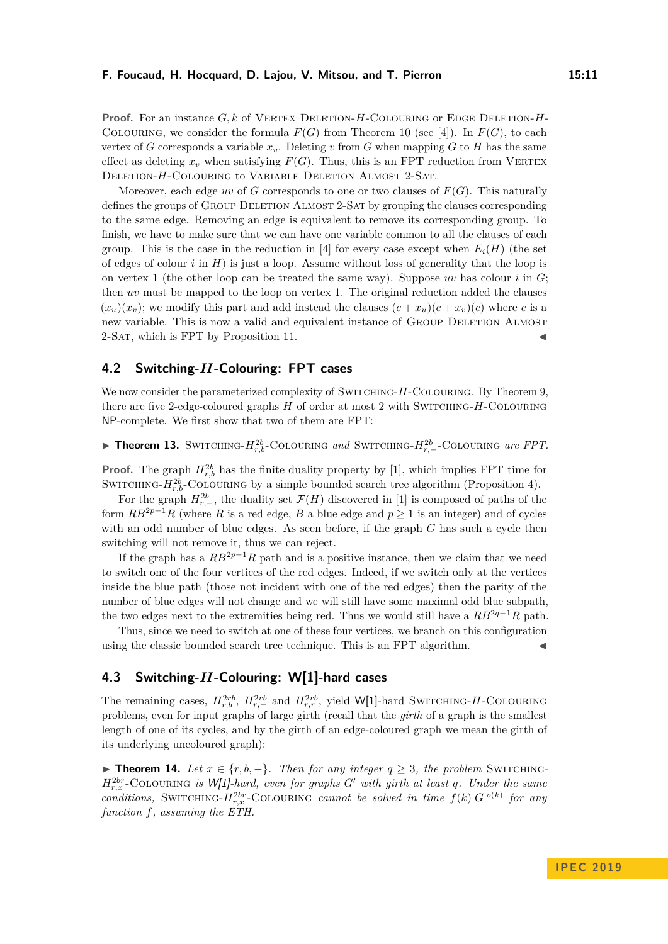**Proof.** For an instance  $G, k$  of VERTEX DELETION- $H$ -COLOURING or EDGE DELETION- $H$ -COLOURING, we consider the formula  $F(G)$  from Theorem [10](#page-9-2) (see [\[4\]](#page-14-5)). In  $F(G)$ , to each vertex of *G* corresponds a variable  $x_v$ . Deleting *v* from *G* when mapping *G* to *H* has the same effect as deleting  $x_v$  when satisfying  $F(G)$ . Thus, this is an FPT reduction from VERTEX Deletion-*H*-Colouring to Variable Deletion Almost 2-Sat.

Moreover, each edge *uv* of *G* corresponds to one or two clauses of  $F(G)$ . This naturally defines the groups of GROUP DELETION ALMOST 2-SAT by grouping the clauses corresponding to the same edge. Removing an edge is equivalent to remove its corresponding group. To finish, we have to make sure that we can have one variable common to all the clauses of each group. This is the case in the reduction in [\[4\]](#page-14-5) for every case except when  $E_i(H)$  (the set of edges of colour  $i$  in  $H$ ) is just a loop. Assume without loss of generality that the loop is on vertex 1 (the other loop can be treated the same way). Suppose  $uv$  has colour  $i$  in  $G$ ; then *uv* must be mapped to the loop on vertex 1. The original reduction added the clauses  $(x<sub>u</sub>)(x<sub>v</sub>)$ ; we modify this part and add instead the clauses  $(c + x<sub>u</sub>)(c + x<sub>v</sub>)(\bar{c})$  where *c* is a new variable. This is now a valid and equivalent instance of Group Deletion Almost 2-SAT, which is FPT by Proposition [11.](#page-9-3)

## **4.2 Switching-***H***-Colouring: FPT cases**

We now consider the parameterized complexity of SWITCHING-H-COLOURING. By Theorem [9,](#page-8-0) there are five 2-edge-coloured graphs *H* of order at most 2 with SWITCHING-H-COLOURING NP-complete. We first show that two of them are FPT:

<span id="page-10-0"></span>■ **Theorem 13.** SWITCHING- $H_{r,b}^{2b}$ -COLOURING *and* SWITCHING- $H_{r,-}^{2b}$ -COLOURING *are FPT*.

**Proof.** The graph  $H_{r,b}^{2b}$  has the finite duality property by [\[1\]](#page-14-2), which implies FPT time for SWITCHING- $H_{r,b}^{2b}$ -COLOURING by a simple bounded search tree algorithm (Proposition [4\)](#page-5-2).

For the graph  $H_{r,-}^{2b}$ , the duality set  $\mathcal{F}(H)$  discovered in [\[1\]](#page-14-2) is composed of paths of the form  $RB^{2p-1}R$  (where R is a red edge, B a blue edge and  $p \ge 1$  is an integer) and of cycles with an odd number of blue edges. As seen before, if the graph *G* has such a cycle then switching will not remove it, thus we can reject.

If the graph has a  $RB^{2p-1}R$  path and is a positive instance, then we claim that we need to switch one of the four vertices of the red edges. Indeed, if we switch only at the vertices inside the blue path (those not incident with one of the red edges) then the parity of the number of blue edges will not change and we will still have some maximal odd blue subpath, the two edges next to the extremities being red. Thus we would still have a *RB*2*q*−1*R* path.

Thus, since we need to switch at one of these four vertices, we branch on this configuration using the classic bounded search tree technique. This is an FPT algorithm.

## **4.3 Switching-***H***-Colouring: W[1]-hard cases**

The remaining cases,  $H_{r,b}^{2rb}$ ,  $H_{r,-}^{2rb}$  and  $H_{r,r}^{2rb}$ , yield W[1]-hard SWITCHING-*H*-COLOURING problems, even for input graphs of large girth (recall that the *girth* of a graph is the smallest length of one of its cycles, and by the girth of an edge-coloured graph we mean the girth of its underlying uncoloured graph):

<span id="page-10-1"></span>**► Theorem 14.** Let  $x \in \{r, b, -\}$ *. Then for any integer*  $q \geq 3$ *, the problem* SWITCHING- $H_{r,x}^{2br}$ -COLOURING *is* W[1]-hard, even for graphs *G*<sup>0</sup> with girth at least q. Under the same *conditions,* SWITCHING- $H_{r,x}^{2br}$ -COLOURING *cannot be solved in time*  $f(k)|G|^{o(k)}$  for any *function f, assuming the ETH.*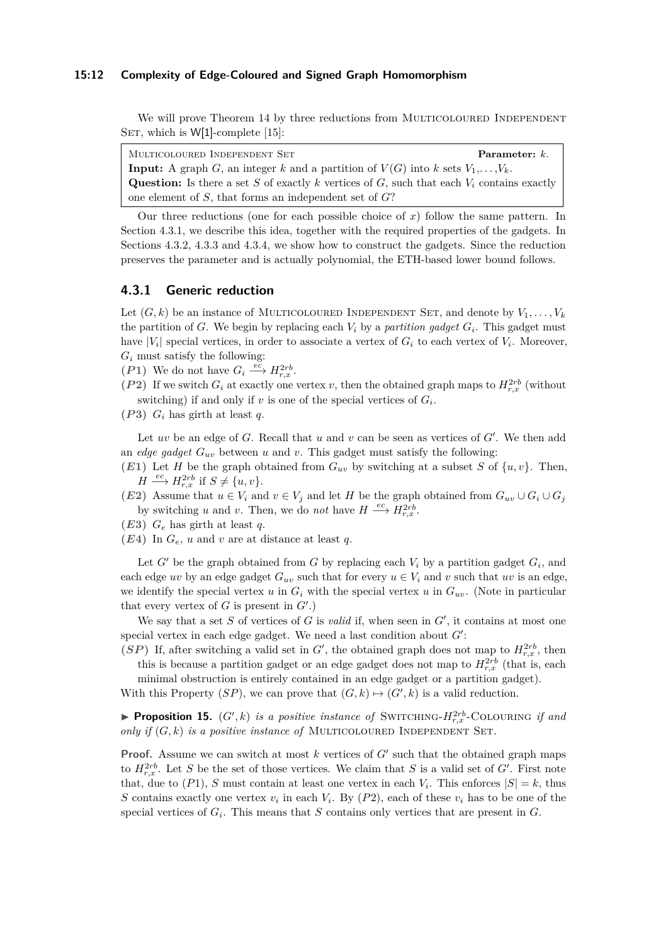#### **15:12 Complexity of Edge-Coloured and Signed Graph Homomorphism**

We will prove Theorem [14](#page-10-1) by three reductions from MULTICOLOURED INDEPENDENT SET, which is  $W[1]$ -complete [\[15\]](#page-14-15):

Multicoloured Independent Set **Parameter:** *k*. **Input:** A graph *G*, an integer *k* and a partition of  $V(G)$  into *k* sets  $V_1, \ldots, V_k$ . **Question:** Is there a set *S* of exactly *k* vertices of *G*, such that each  $V_i$  contains exactly one element of *S*, that forms an independent set of *G*?

Our three reductions (one for each possible choice of  $x$ ) follow the same pattern. In Section [4.3.1,](#page-11-0) we describe this idea, together with the required properties of the gadgets. In Sections [4.3.2,](#page-12-0) [4.3.3](#page-13-1) and [4.3.4,](#page-13-2) we show how to construct the gadgets. Since the reduction preserves the parameter and is actually polynomial, the ETH-based lower bound follows.

## <span id="page-11-0"></span>**4.3.1 Generic reduction**

Let  $(G, k)$  be an instance of MULTICOLOURED INDEPENDENT SET, and denote by  $V_1, \ldots, V_k$ the partition of *G*. We begin by replacing each  $V_i$  by a *partition gadget*  $G_i$ . This gadget must have  $|V_i|$  special vertices, in order to associate a vertex of  $G_i$  to each vertex of  $V_i$ . Moreover,  $G_i$  must satisfy the following:

- (*P* **1**) We do not have  $G_i \xrightarrow{ec} H_{r,x}^{2rb}$ .
- (*P* **2**) If we switch  $G_i$  at exactly one vertex *v*, then the obtained graph maps to  $H_{r,x}^{2rb}$  (without switching) if and only if  $v$  is one of the special vertices of  $G_i$ .
- ( $P3$ )  $G_i$  has girth at least q.

Let  $uv$  be an edge of  $G$ . Recall that  $u$  and  $v$  can be seen as vertices of  $G'$ . We then add an *edge gadget*  $G_{uv}$  between *u* and *v*. This gadget must satisfy the following:

- $(E1)$  Let *H* be the graph obtained from  $G_{uv}$  by switching at a subset *S* of  $\{u, v\}$ . Then,  $H \stackrel{ec}{\longrightarrow} H^{2rb}_{r,x}$  if  $S \neq \{u, v\}.$
- (*E***2**) Assume that  $u \in V_i$  and  $v \in V_j$  and let *H* be the graph obtained from  $G_{uv} \cup G_i \cup G_j$ by switching *u* and *v*. Then, we do *not* have  $H \xrightarrow{ec} H^{2rb}_{r,x}$ .
- ( $E3$ )  $G_e$  has girth at least q.
- ( $E4$ ) In  $G_e$ , *u* and *v* are at distance at least *q*.

Let  $G'$  be the graph obtained from  $G$  by replacing each  $V_i$  by a partition gadget  $G_i$ , and each edge *uv* by an edge gadget  $G_{uv}$  such that for every  $u \in V_i$  and *v* such that *uv* is an edge, we identify the special vertex *u* in  $G_i$  with the special vertex *u* in  $G_{uv}$ . (Note in particular that every vertex of  $G$  is present in  $G'$ .)

We say that a set  $S$  of vertices of  $G$  is *valid* if, when seen in  $G'$ , it contains at most one special vertex in each edge gadget. We need a last condition about  $G'$ :

(*SP*) If, after switching a valid set in *G'*, the obtained graph does not map to  $H_{r,x}^{2rb}$ , then this is because a partition gadget or an edge gadget does not map to  $H_{r,x}^{2rb}$  (that is, each minimal obstruction is entirely contained in an edge gadget or a partition gadget).

With this Property  $(SP)$ , we can prove that  $(G, k) \mapsto (G', k)$  is a valid reduction.

**Proposition 15.**  $(G', k)$  *is a positive instance of* SWITCHING- $H^{2rb}_{r,x}$ -COLOURING *if and only if*  $(G, k)$  *is a positive instance of* MULTICOLOURED INDEPENDENT SET.

**Proof.** Assume we can switch at most  $k$  vertices of  $G'$  such that the obtained graph maps to  $H_{r,x}^{2rb}$ . Let *S* be the set of those vertices. We claim that *S* is a valid set of *G*<sup> $\prime$ </sup>. First note that, due to  $(P1)$ , *S* must contain at least one vertex in each  $V_i$ . This enforces  $|S| = k$ , thus *S* contains exactly one vertex  $v_i$  in each  $V_i$ . By  $(P2)$ , each of these  $v_i$  has to be one of the special vertices of *G<sup>i</sup>* . This means that *S* contains only vertices that are present in *G*.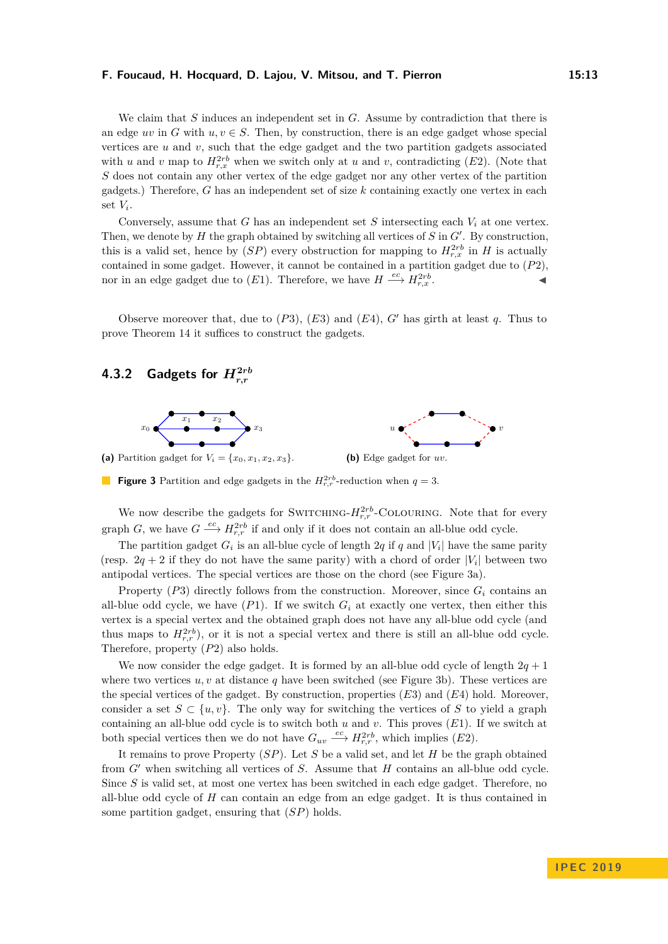We claim that *S* induces an independent set in *G*. Assume by contradiction that there is an edge *uv* in *G* with  $u, v \in S$ . Then, by construction, there is an edge gadget whose special vertices are *u* and *v*, such that the edge gadget and the two partition gadgets associated with *u* and *v* map to  $H^{2rb}_{r,x}$  when we switch only at *u* and *v*, contradicting (*E*2). (Note that *S* does not contain any other vertex of the edge gadget nor any other vertex of the partition gadgets.) Therefore, *G* has an independent set of size *k* containing exactly one vertex in each set  $V_i$ .

Conversely, assume that *G* has an independent set *S* intersecting each  $V_i$  at one vertex. Then, we denote by  $H$  the graph obtained by switching all vertices of  $S$  in  $G'$ . By construction, this is a valid set, hence by  $(SP)$  every obstruction for mapping to  $H^{2rb}_{r,x}$  in *H* is actually contained in some gadget. However, it cannot be contained in a partition gadget due to (*P*2), nor in an edge gadget due to  $(E1)$ . Therefore, we have  $H \xrightarrow{ec} H_{r,x}^{2rb}$ .

Observe moreover that, due to  $(P3)$ ,  $(E3)$  and  $(E4)$ ,  $G'$  has girth at least  $q$ . Thus to prove Theorem [14](#page-10-1) it suffices to construct the gadgets.

## <span id="page-12-0"></span>**4.3.2** Gadgets for  $H_{r,r}^{2rb}$

<span id="page-12-1"></span>

**Figure 3** Partition and edge gadgets in the  $H_{r,r}^{2rb}$ -reduction when  $q=3$ .

We now describe the gadgets for SWITCHING- $H_{r,r}^{2rb}$ -COLOURING. Note that for every graph *G*, we have  $G \stackrel{ec}{\longrightarrow} H^{2rb}_{r,r}$  if and only if it does not contain an all-blue odd cycle.

The partition gadget  $G_i$  is an all-blue cycle of length 2*q* if *q* and  $|V_i|$  have the same parity (resp.  $2q + 2$  if they do not have the same parity) with a chord of order  $|V_i|$  between two antipodal vertices. The special vertices are those on the chord (see Figure [3a\)](#page-12-1).

Property  $(P3)$  directly follows from the construction. Moreover, since  $G_i$  contains an all-blue odd cycle, we have  $(P1)$ . If we switch  $G_i$  at exactly one vertex, then either this vertex is a special vertex and the obtained graph does not have any all-blue odd cycle (and thus maps to  $H^{2rb}_{r,r}$ , or it is not a special vertex and there is still an all-blue odd cycle. Therefore, property (*P*2) also holds.

We now consider the edge gadget. It is formed by an all-blue odd cycle of length  $2q + 1$ where two vertices  $u, v$  at distance  $q$  have been switched (see Figure [3b\)](#page-12-1). These vertices are the special vertices of the gadget. By construction, properties (*E*3) and (*E*4) hold. Moreover, consider a set  $S \subset \{u, v\}$ . The only way for switching the vertices of *S* to yield a graph containing an all-blue odd cycle is to switch both *u* and *v*. This proves (*E*1). If we switch at both special vertices then we do not have  $G_{uv} \stackrel{ec}{\longrightarrow} H_{r,r}^{2rb}$ , which implies  $(E2)$ .

It remains to prove Property (*SP*). Let *S* be a valid set, and let *H* be the graph obtained from *G*<sup>0</sup> when switching all vertices of *S*. Assume that *H* contains an all-blue odd cycle. Since *S* is valid set, at most one vertex has been switched in each edge gadget. Therefore, no all-blue odd cycle of *H* can contain an edge from an edge gadget. It is thus contained in some partition gadget, ensuring that (*SP*) holds.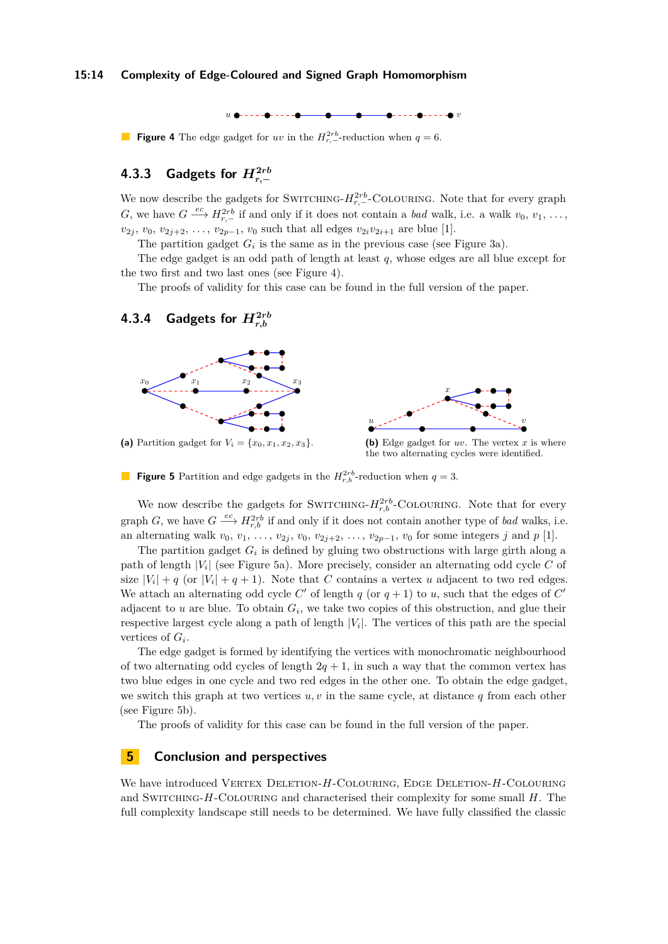#### **15:14 Complexity of Edge-Coloured and Signed Graph Homomorphism**

*u v*

<span id="page-13-3"></span>**Figure 4** The edge gadget for *uv* in the  $H_{r,-}^{2rb}$ -reduction when  $q=6$ .

## <span id="page-13-1"></span>**4.3.3 Gadgets for** *H***<sup>2</sup>***rb r,***−**

We now describe the gadgets for SWITCHING- $H_{r,-}^{2rb}$ -COLOURING. Note that for every graph *G*, we have  $G \xrightarrow{ec} H_{r,-}^{2rb}$  if and only if it does not contain a *bad* walk, i.e. a walk  $v_0, v_1, \ldots$ *v*<sub>2*j*</sub>, *v*<sub>0</sub>, *v*<sub>2*j*+2</sub>, ..., *v*<sub>2*p*−1</sub>, *v*<sub>0</sub> such that all edges *v*<sub>2*i*</sub>*v*<sub>2*i*+1</sub> are blue [\[1\]](#page-14-2).

The partition gadget  $G_i$  is the same as in the previous case (see Figure [3a\)](#page-12-1).

The edge gadget is an odd path of length at least *q*, whose edges are all blue except for the two first and two last ones (see Figure [4\)](#page-13-3).

The proofs of validity for this case can be found in the full version of the paper.

## <span id="page-13-2"></span>**4.3.4** Gadgets for  $H_{r,b}^{2rb}$

<span id="page-13-4"></span>



(a) Partition gadget for  $V_i = \{x_0, x_1, x_2, x_3\}.$ 

**(b)** Edge gadget for *uv*. The vertex *x* is where the two alternating cycles were identified.

**Figure 5** Partition and edge gadgets in the  $H_{r,b}^{2rb}$ -reduction when  $q = 3$ .

We now describe the gadgets for SWITCHING- $H_{r,b}^{2rb}$ -COLOURING. Note that for every graph *G*, we have  $G \xrightarrow{ec} H_{r,b}^{2rb}$  if and only if it does not contain another type of *bad* walks, i.e. an alternating walk  $v_0, v_1, \ldots, v_{2j}, v_0, v_{2j+2}, \ldots, v_{2p-1}, v_0$  for some integers *j* and *p* [\[1\]](#page-14-2).

The partition gadget  $G_i$  is defined by gluing two obstructions with large girth along a path of length |*V<sup>i</sup>* | (see Figure [5a\)](#page-13-4). More precisely, consider an alternating odd cycle *C* of size  $|V_i| + q$  (or  $|V_i| + q + 1$ ). Note that *C* contains a vertex *u* adjacent to two red edges. We attach an alternating odd cycle  $C'$  of length  $q$  (or  $q + 1$ ) to  $u$ , such that the edges of  $C'$ adjacent to  $u$  are blue. To obtain  $G_i$ , we take two copies of this obstruction, and glue their respective largest cycle along a path of length  $|V_i|$ . The vertices of this path are the special vertices of *G<sup>i</sup>* .

The edge gadget is formed by identifying the vertices with monochromatic neighbourhood of two alternating odd cycles of length  $2q + 1$ , in such a way that the common vertex has two blue edges in one cycle and two red edges in the other one. To obtain the edge gadget, we switch this graph at two vertices  $u, v$  in the same cycle, at distance  $q$  from each other (see Figure [5b\)](#page-13-4).

The proofs of validity for this case can be found in the full version of the paper.

## <span id="page-13-0"></span>**5 Conclusion and perspectives**

We have introduced VERTEX DELETION-H-COLOURING, EDGE DELETION-H-COLOURING and Switching-*H*-Colouring and characterised their complexity for some small *H*. The full complexity landscape still needs to be determined. We have fully classified the classic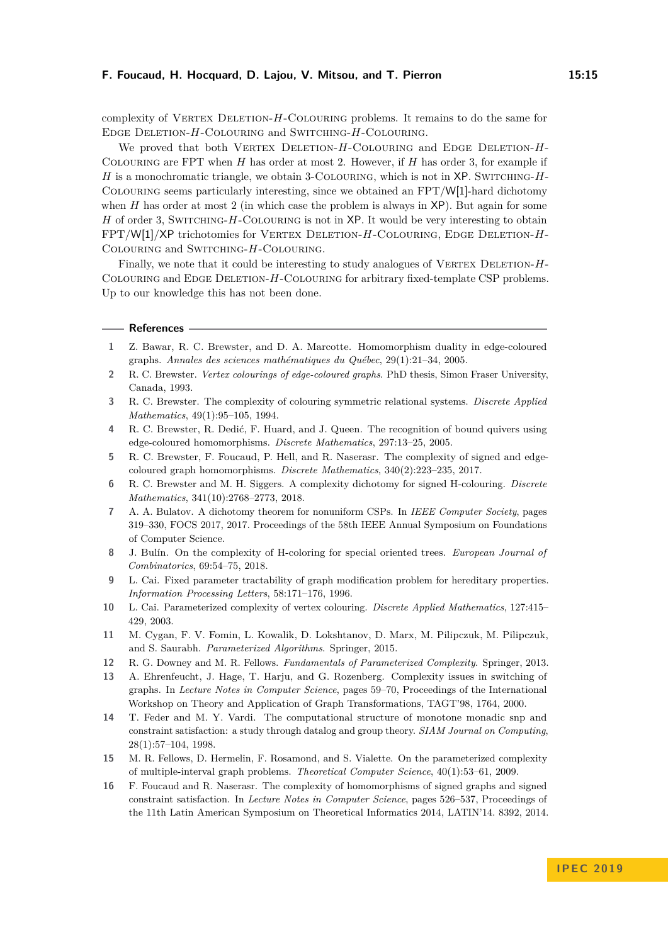complexity of VERTEX DELETION-H-COLOURING problems. It remains to do the same for Edge Deletion-*H*-Colouring and Switching-*H*-Colouring.

We proved that both VERTEX DELETION-H-COLOURING and EDGE DELETION-H-Colouring are FPT when *H* has order at most 2. However, if *H* has order 3, for example if *H* is a monochromatic triangle, we obtain 3-Colouring, which is not in XP. Switching-*H*-Colouring seems particularly interesting, since we obtained an FPT/W[1]-hard dichotomy when *H* has order at most 2 (in which case the problem is always in XP). But again for some *H* of order 3, SWITCHING-*H*-COLOURING is not in XP. It would be very interesting to obtain FPT/W[1]/XP trichotomies for Vertex Deletion-*H*-Colouring, Edge Deletion-*H*-Colouring and Switching-*H*-Colouring.

Finally, we note that it could be interesting to study analogues of VERTEX DELETION- $H$ -Colouring and Edge Deletion-*H*-Colouring for arbitrary fixed-template CSP problems. Up to our knowledge this has not been done.

#### **References**

- <span id="page-14-2"></span>**1** Z. Bawar, R. C. Brewster, and D. A. Marcotte. Homomorphism duality in edge-coloured graphs. *Annales des sciences mathématiques du Québec*, 29(1):21–34, 2005.
- <span id="page-14-3"></span>**2** R. C. Brewster. *Vertex colourings of edge-coloured graphs*. PhD thesis, Simon Fraser University, Canada, 1993.
- <span id="page-14-4"></span>**3** R. C. Brewster. The complexity of colouring symmetric relational systems. *Discrete Applied Mathematics*, 49(1):95–105, 1994.
- <span id="page-14-5"></span>**4** R. C. Brewster, R. Dedić, F. Huard, and J. Queen. The recognition of bound quivers using edge-coloured homomorphisms. *Discrete Mathematics*, 297:13–25, 2005.
- <span id="page-14-6"></span>**5** R. C. Brewster, F. Foucaud, P. Hell, and R. Naserasr. The complexity of signed and edgecoloured graph homomorphisms. *Discrete Mathematics*, 340(2):223–235, 2017.
- <span id="page-14-9"></span>**6** R. C. Brewster and M. H. Siggers. A complexity dichotomy for signed H-colouring. *Discrete Mathematics*, 341(10):2768–2773, 2018.
- <span id="page-14-7"></span>**7** A. A. Bulatov. A dichotomy theorem for nonuniform CSPs. In *IEEE Computer Society*, pages 319–330, FOCS 2017, 2017. Proceedings of the 58th IEEE Annual Symposium on Foundations of Computer Science.
- <span id="page-14-0"></span>**8** J. Bulín. On the complexity of H-coloring for special oriented trees. *European Journal of Combinatorics*, 69:54–75, 2018.
- <span id="page-14-8"></span>**9** L. Cai. Fixed parameter tractability of graph modification problem for hereditary properties. *Information Processing Letters*, 58:171–176, 1996.
- <span id="page-14-13"></span>**10** L. Cai. Parameterized complexity of vertex colouring. *Discrete Applied Mathematics*, 127:415– 429, 2003.
- <span id="page-14-11"></span>**11** M. Cygan, F. V. Fomin, L. Kowalik, D. Lokshtanov, D. Marx, M. Pilipczuk, M. Pilipczuk, and S. Saurabh. *Parameterized Algorithms*. Springer, 2015.
- <span id="page-14-12"></span>**12** R. G. Downey and M. R. Fellows. *Fundamentals of Parameterized Complexity*. Springer, 2013.
- <span id="page-14-14"></span>**13** A. Ehrenfeucht, J. Hage, T. Harju, and G. Rozenberg. Complexity issues in switching of graphs. In *Lecture Notes in Computer Science*, pages 59–70, Proceedings of the International Workshop on Theory and Application of Graph Transformations, TAGT'98, 1764, 2000.
- <span id="page-14-1"></span>**14** T. Feder and M. Y. Vardi. The computational structure of monotone monadic snp and constraint satisfaction: a study through datalog and group theory. *SIAM Journal on Computing*, 28(1):57–104, 1998.
- <span id="page-14-15"></span>**15** M. R. Fellows, D. Hermelin, F. Rosamond, and S. Vialette. On the parameterized complexity of multiple-interval graph problems. *Theoretical Computer Science*, 40(1):53–61, 2009.
- <span id="page-14-10"></span>**16** F. Foucaud and R. Naserasr. The complexity of homomorphisms of signed graphs and signed constraint satisfaction. In *Lecture Notes in Computer Science*, pages 526–537, Proceedings of the 11th Latin American Symposium on Theoretical Informatics 2014, LATIN'14. 8392, 2014.